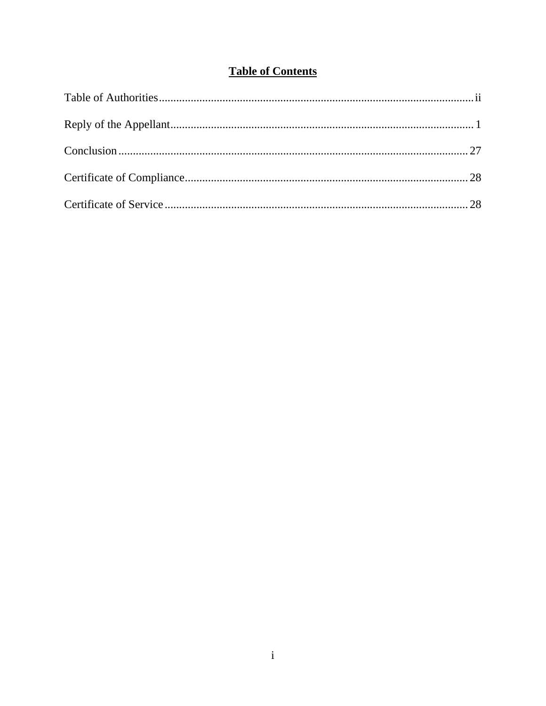### **Table of Contents**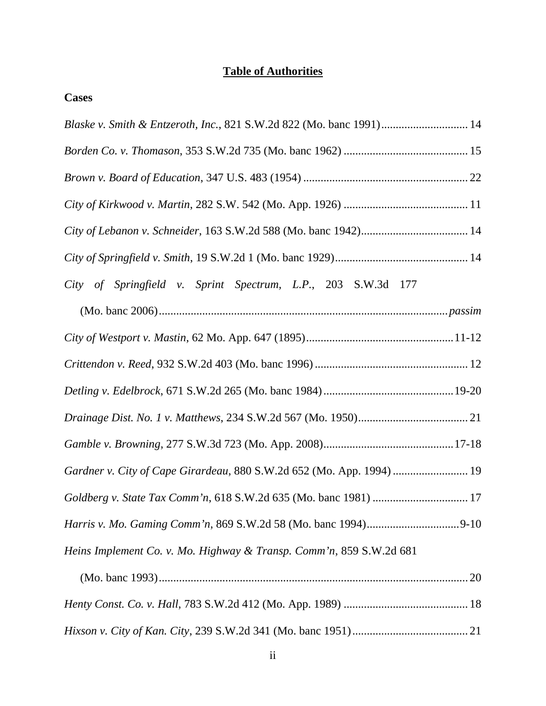### **Table of Authorities**

**Cases**

| Blaske v. Smith & Entzeroth, Inc., 821 S.W.2d 822 (Mo. banc 1991) 14  |
|-----------------------------------------------------------------------|
|                                                                       |
|                                                                       |
|                                                                       |
|                                                                       |
|                                                                       |
| City of Springfield v. Sprint Spectrum, L.P., 203 S.W.3d 177          |
|                                                                       |
|                                                                       |
|                                                                       |
|                                                                       |
|                                                                       |
|                                                                       |
| Gardner v. City of Cape Girardeau, 880 S.W.2d 652 (Mo. App. 1994)  19 |
|                                                                       |
|                                                                       |
| Heins Implement Co. v. Mo. Highway & Transp. Comm'n, 859 S.W.2d 681   |
|                                                                       |
|                                                                       |
|                                                                       |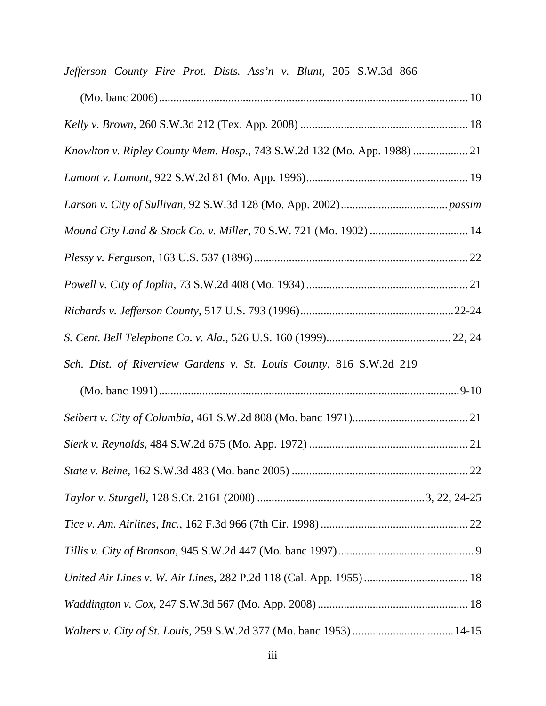| Jefferson County Fire Prot. Dists. Ass'n v. Blunt, 205 S.W.3d 866        |
|--------------------------------------------------------------------------|
|                                                                          |
|                                                                          |
| Knowlton v. Ripley County Mem. Hosp., 743 S.W.2d 132 (Mo. App. 1988)  21 |
|                                                                          |
|                                                                          |
|                                                                          |
|                                                                          |
|                                                                          |
|                                                                          |
|                                                                          |
| Sch. Dist. of Riverview Gardens v. St. Louis County, 816 S.W.2d 219      |
|                                                                          |
|                                                                          |
|                                                                          |
|                                                                          |
|                                                                          |
|                                                                          |
|                                                                          |
|                                                                          |
|                                                                          |
|                                                                          |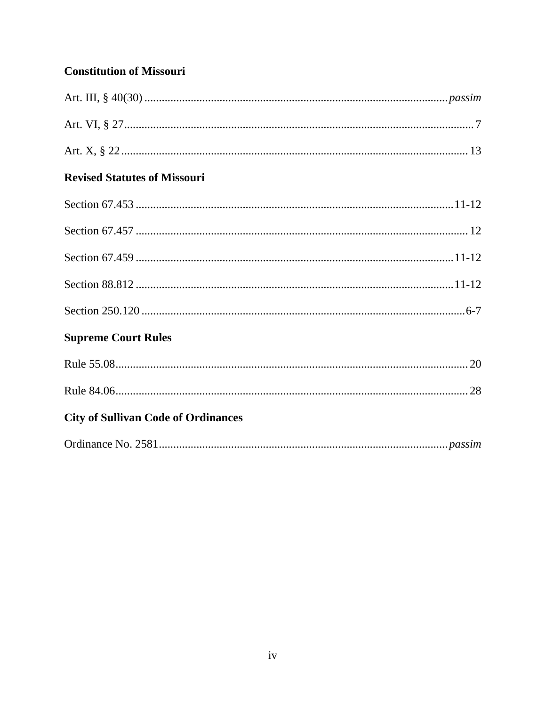### **Constitution of Missouri**

| <b>Revised Statutes of Missouri</b>        |
|--------------------------------------------|
|                                            |
|                                            |
|                                            |
|                                            |
|                                            |
| <b>Supreme Court Rules</b>                 |
|                                            |
|                                            |
| <b>City of Sullivan Code of Ordinances</b> |
|                                            |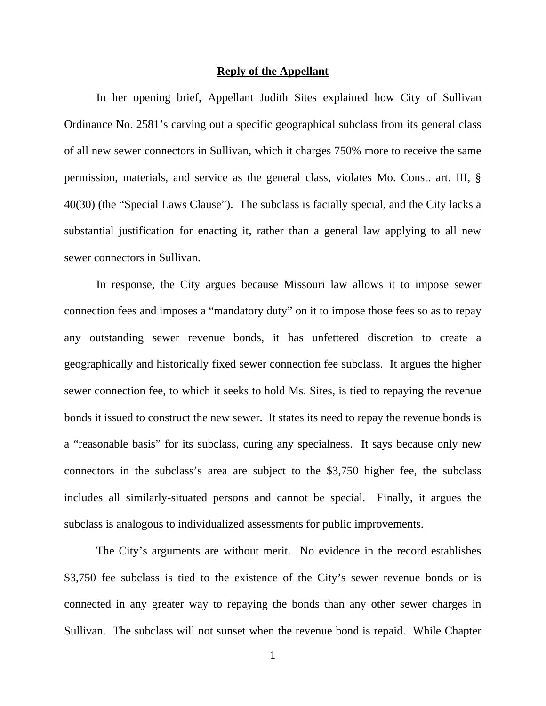#### **Reply of the Appellant**

In her opening brief, Appellant Judith Sites explained how City of Sullivan Ordinance No. 2581's carving out a specific geographical subclass from its general class of all new sewer connectors in Sullivan, which it charges 750% more to receive the same permission, materials, and service as the general class, violates Mo. Const. art. III, § 40(30) (the "Special Laws Clause"). The subclass is facially special, and the City lacks a substantial justification for enacting it, rather than a general law applying to all new sewer connectors in Sullivan.

In response, the City argues because Missouri law allows it to impose sewer connection fees and imposes a "mandatory duty" on it to impose those fees so as to repay any outstanding sewer revenue bonds, it has unfettered discretion to create a geographically and historically fixed sewer connection fee subclass. It argues the higher sewer connection fee, to which it seeks to hold Ms. Sites, is tied to repaying the revenue bonds it issued to construct the new sewer. It states its need to repay the revenue bonds is a "reasonable basis" for its subclass, curing any specialness. It says because only new connectors in the subclass's area are subject to the \$3,750 higher fee, the subclass includes all similarly-situated persons and cannot be special. Finally, it argues the subclass is analogous to individualized assessments for public improvements.

The City's arguments are without merit. No evidence in the record establishes \$3,750 fee subclass is tied to the existence of the City's sewer revenue bonds or is connected in any greater way to repaying the bonds than any other sewer charges in Sullivan. The subclass will not sunset when the revenue bond is repaid. While Chapter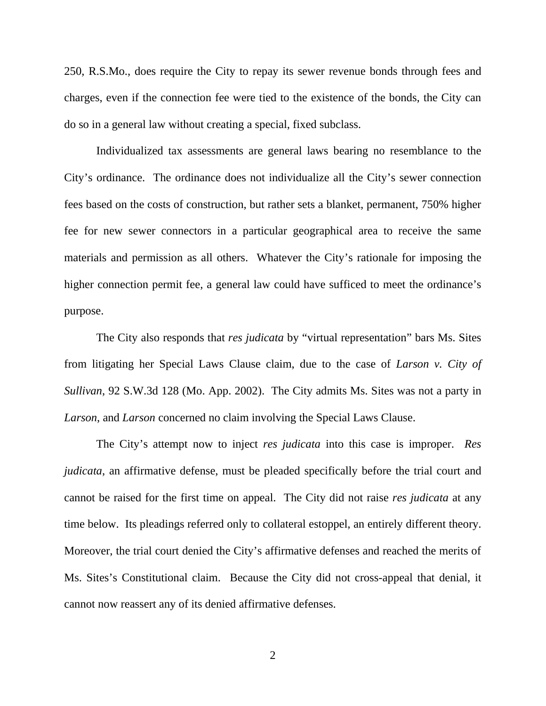250, R.S.Mo., does require the City to repay its sewer revenue bonds through fees and charges, even if the connection fee were tied to the existence of the bonds, the City can do so in a general law without creating a special, fixed subclass.

Individualized tax assessments are general laws bearing no resemblance to the City's ordinance. The ordinance does not individualize all the City's sewer connection fees based on the costs of construction, but rather sets a blanket, permanent, 750% higher fee for new sewer connectors in a particular geographical area to receive the same materials and permission as all others. Whatever the City's rationale for imposing the higher connection permit fee, a general law could have sufficed to meet the ordinance's purpose.

The City also responds that *res judicata* by "virtual representation" bars Ms. Sites from litigating her Special Laws Clause claim, due to the case of *Larson v. City of Sullivan*, 92 S.W.3d 128 (Mo. App. 2002). The City admits Ms. Sites was not a party in *Larson*, and *Larson* concerned no claim involving the Special Laws Clause.

The City's attempt now to inject *res judicata* into this case is improper. *Res judicata*, an affirmative defense, must be pleaded specifically before the trial court and cannot be raised for the first time on appeal. The City did not raise *res judicata* at any time below. Its pleadings referred only to collateral estoppel, an entirely different theory. Moreover, the trial court denied the City's affirmative defenses and reached the merits of Ms. Sites's Constitutional claim. Because the City did not cross-appeal that denial, it cannot now reassert any of its denied affirmative defenses.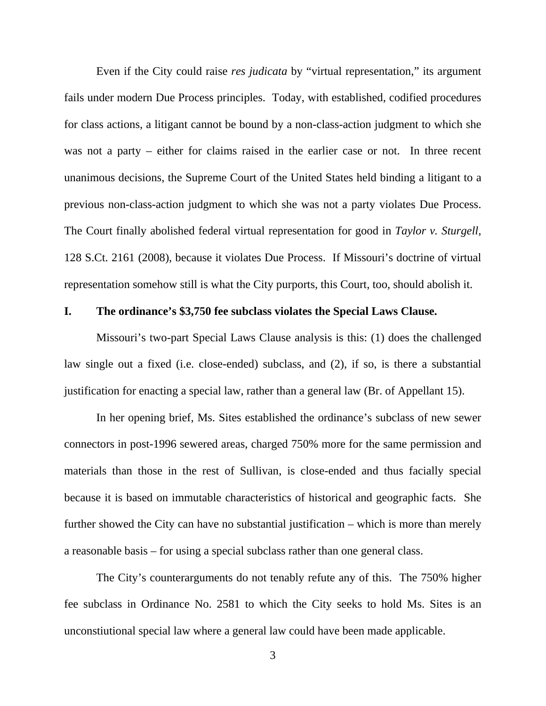Even if the City could raise *res judicata* by "virtual representation," its argument fails under modern Due Process principles. Today, with established, codified procedures for class actions, a litigant cannot be bound by a non-class-action judgment to which she was not a party – either for claims raised in the earlier case or not. In three recent unanimous decisions, the Supreme Court of the United States held binding a litigant to a previous non-class-action judgment to which she was not a party violates Due Process. The Court finally abolished federal virtual representation for good in *Taylor v. Sturgell*, 128 S.Ct. 2161 (2008), because it violates Due Process. If Missouri's doctrine of virtual representation somehow still is what the City purports, this Court, too, should abolish it.

### **I. The ordinance's \$3,750 fee subclass violates the Special Laws Clause.**

Missouri's two-part Special Laws Clause analysis is this: (1) does the challenged law single out a fixed (i.e. close-ended) subclass, and (2), if so, is there a substantial justification for enacting a special law, rather than a general law (Br. of Appellant 15).

In her opening brief, Ms. Sites established the ordinance's subclass of new sewer connectors in post-1996 sewered areas, charged 750% more for the same permission and materials than those in the rest of Sullivan, is close-ended and thus facially special because it is based on immutable characteristics of historical and geographic facts. She further showed the City can have no substantial justification – which is more than merely a reasonable basis – for using a special subclass rather than one general class.

The City's counterarguments do not tenably refute any of this. The 750% higher fee subclass in Ordinance No. 2581 to which the City seeks to hold Ms. Sites is an unconstiutional special law where a general law could have been made applicable.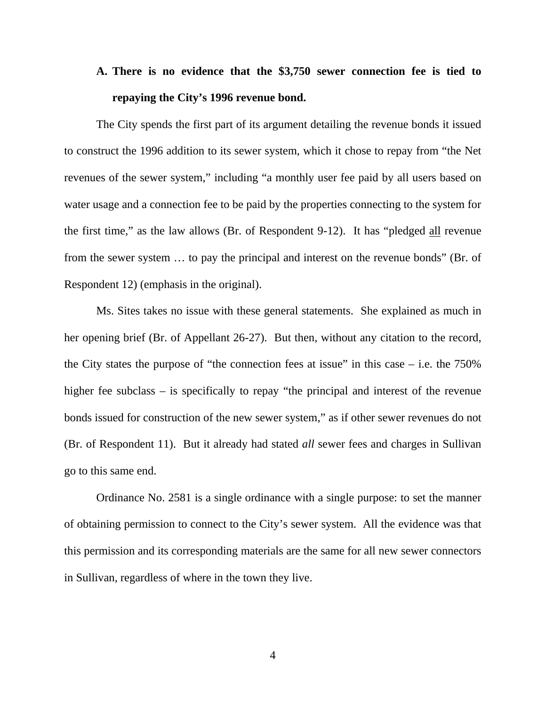# **A. There is no evidence that the \$3,750 sewer connection fee is tied to repaying the City's 1996 revenue bond.**

The City spends the first part of its argument detailing the revenue bonds it issued to construct the 1996 addition to its sewer system, which it chose to repay from "the Net revenues of the sewer system," including "a monthly user fee paid by all users based on water usage and a connection fee to be paid by the properties connecting to the system for the first time," as the law allows (Br. of Respondent 9-12). It has "pledged all revenue from the sewer system … to pay the principal and interest on the revenue bonds" (Br. of Respondent 12) (emphasis in the original).

Ms. Sites takes no issue with these general statements. She explained as much in her opening brief (Br. of Appellant 26-27). But then, without any citation to the record, the City states the purpose of "the connection fees at issue" in this case  $-$  i.e. the 750% higher fee subclass – is specifically to repay "the principal and interest of the revenue bonds issued for construction of the new sewer system," as if other sewer revenues do not (Br. of Respondent 11). But it already had stated *all* sewer fees and charges in Sullivan go to this same end.

Ordinance No. 2581 is a single ordinance with a single purpose: to set the manner of obtaining permission to connect to the City's sewer system. All the evidence was that this permission and its corresponding materials are the same for all new sewer connectors in Sullivan, regardless of where in the town they live.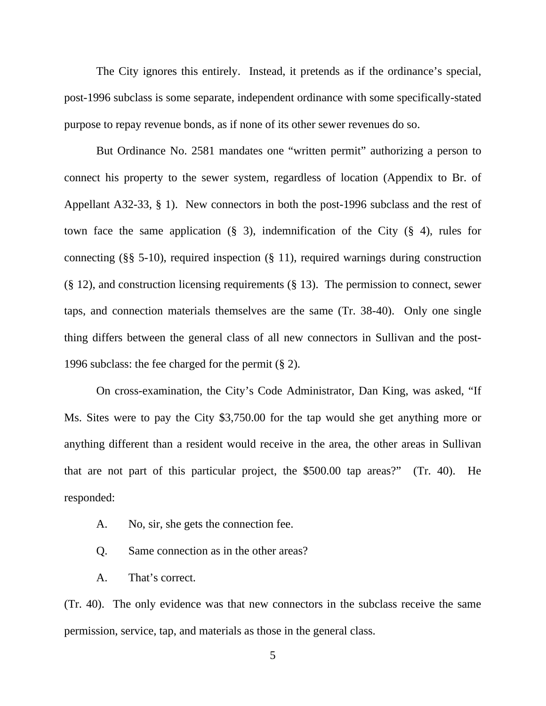The City ignores this entirely. Instead, it pretends as if the ordinance's special, post-1996 subclass is some separate, independent ordinance with some specifically-stated purpose to repay revenue bonds, as if none of its other sewer revenues do so.

But Ordinance No. 2581 mandates one "written permit" authorizing a person to connect his property to the sewer system, regardless of location (Appendix to Br. of Appellant A32-33, § 1). New connectors in both the post-1996 subclass and the rest of town face the same application  $(\S$  3), indemnification of the City  $(\S$  4), rules for connecting (§§ 5-10), required inspection (§ 11), required warnings during construction (§ 12), and construction licensing requirements (§ 13). The permission to connect, sewer taps, and connection materials themselves are the same (Tr. 38-40). Only one single thing differs between the general class of all new connectors in Sullivan and the post-1996 subclass: the fee charged for the permit (§ 2).

On cross-examination, the City's Code Administrator, Dan King, was asked, "If Ms. Sites were to pay the City \$3,750.00 for the tap would she get anything more or anything different than a resident would receive in the area, the other areas in Sullivan that are not part of this particular project, the \$500.00 tap areas?" (Tr. 40). He responded:

- A. No, sir, she gets the connection fee.
- Q. Same connection as in the other areas?
- A. That's correct.

(Tr. 40). The only evidence was that new connectors in the subclass receive the same permission, service, tap, and materials as those in the general class.

5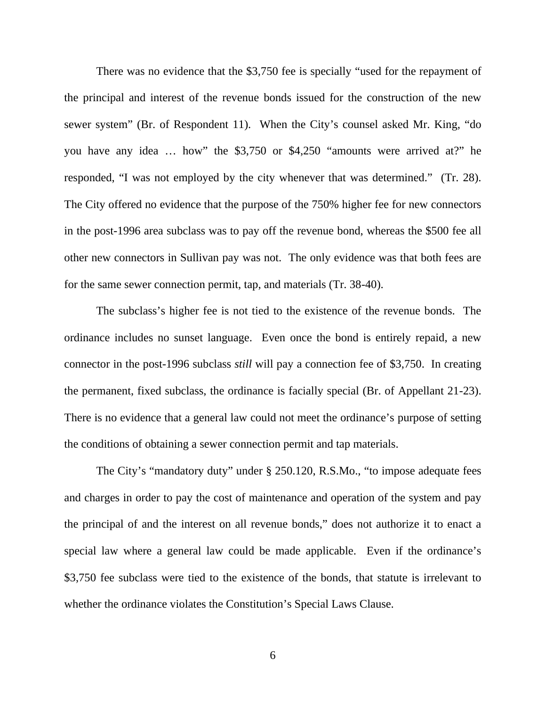There was no evidence that the \$3,750 fee is specially "used for the repayment of the principal and interest of the revenue bonds issued for the construction of the new sewer system" (Br. of Respondent 11). When the City's counsel asked Mr. King, "do you have any idea … how" the \$3,750 or \$4,250 "amounts were arrived at?" he responded, "I was not employed by the city whenever that was determined." (Tr. 28). The City offered no evidence that the purpose of the 750% higher fee for new connectors in the post-1996 area subclass was to pay off the revenue bond, whereas the \$500 fee all other new connectors in Sullivan pay was not. The only evidence was that both fees are for the same sewer connection permit, tap, and materials (Tr. 38-40).

The subclass's higher fee is not tied to the existence of the revenue bonds. The ordinance includes no sunset language. Even once the bond is entirely repaid, a new connector in the post-1996 subclass *still* will pay a connection fee of \$3,750. In creating the permanent, fixed subclass, the ordinance is facially special (Br. of Appellant 21-23). There is no evidence that a general law could not meet the ordinance's purpose of setting the conditions of obtaining a sewer connection permit and tap materials.

The City's "mandatory duty" under § 250.120, R.S.Mo., "to impose adequate fees and charges in order to pay the cost of maintenance and operation of the system and pay the principal of and the interest on all revenue bonds," does not authorize it to enact a special law where a general law could be made applicable. Even if the ordinance's \$3,750 fee subclass were tied to the existence of the bonds, that statute is irrelevant to whether the ordinance violates the Constitution's Special Laws Clause.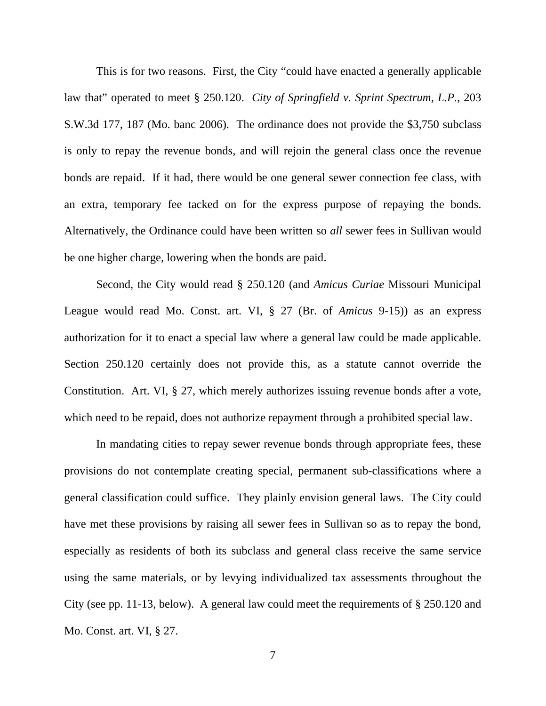This is for two reasons. First, the City "could have enacted a generally applicable law that" operated to meet § 250.120. *City of Springfield v. Sprint Spectrum, L.P.*, 203 S.W.3d 177, 187 (Mo. banc 2006). The ordinance does not provide the \$3,750 subclass is only to repay the revenue bonds, and will rejoin the general class once the revenue bonds are repaid. If it had, there would be one general sewer connection fee class, with an extra, temporary fee tacked on for the express purpose of repaying the bonds. Alternatively, the Ordinance could have been written so *all* sewer fees in Sullivan would be one higher charge, lowering when the bonds are paid.

Second, the City would read § 250.120 (and *Amicus Curiae* Missouri Municipal League would read Mo. Const. art. VI, § 27 (Br. of *Amicus* 9-15)) as an express authorization for it to enact a special law where a general law could be made applicable. Section 250.120 certainly does not provide this, as a statute cannot override the Constitution. Art. VI, § 27, which merely authorizes issuing revenue bonds after a vote, which need to be repaid, does not authorize repayment through a prohibited special law.

In mandating cities to repay sewer revenue bonds through appropriate fees, these provisions do not contemplate creating special, permanent sub-classifications where a general classification could suffice. They plainly envision general laws. The City could have met these provisions by raising all sewer fees in Sullivan so as to repay the bond, especially as residents of both its subclass and general class receive the same service using the same materials, or by levying individualized tax assessments throughout the City (see pp. 11-13, below). A general law could meet the requirements of § 250.120 and Mo. Const. art. VI, § 27.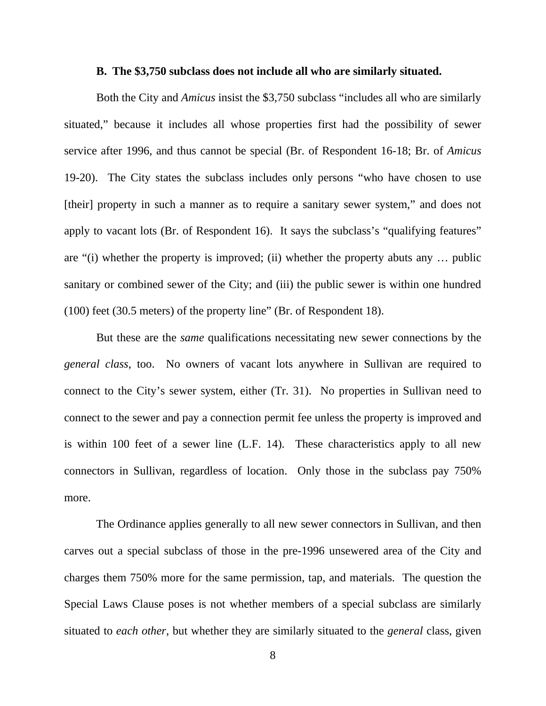#### **B. The \$3,750 subclass does not include all who are similarly situated.**

Both the City and *Amicus* insist the \$3,750 subclass "includes all who are similarly situated," because it includes all whose properties first had the possibility of sewer service after 1996, and thus cannot be special (Br. of Respondent 16-18; Br. of *Amicus* 19-20). The City states the subclass includes only persons "who have chosen to use [their] property in such a manner as to require a sanitary sewer system," and does not apply to vacant lots (Br. of Respondent 16). It says the subclass's "qualifying features" are "(i) whether the property is improved; (ii) whether the property abuts any … public sanitary or combined sewer of the City; and (iii) the public sewer is within one hundred (100) feet (30.5 meters) of the property line" (Br. of Respondent 18).

But these are the *same* qualifications necessitating new sewer connections by the *general class*, too. No owners of vacant lots anywhere in Sullivan are required to connect to the City's sewer system, either (Tr. 31). No properties in Sullivan need to connect to the sewer and pay a connection permit fee unless the property is improved and is within 100 feet of a sewer line (L.F. 14). These characteristics apply to all new connectors in Sullivan, regardless of location. Only those in the subclass pay 750% more.

The Ordinance applies generally to all new sewer connectors in Sullivan, and then carves out a special subclass of those in the pre-1996 unsewered area of the City and charges them 750% more for the same permission, tap, and materials. The question the Special Laws Clause poses is not whether members of a special subclass are similarly situated to *each other*, but whether they are similarly situated to the *general* class, given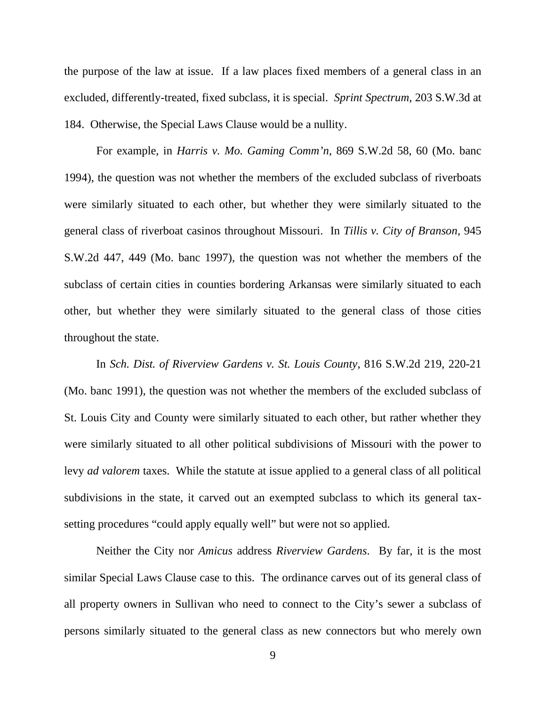the purpose of the law at issue. If a law places fixed members of a general class in an excluded, differently-treated, fixed subclass, it is special. *Sprint Spectrum*, 203 S.W.3d at 184. Otherwise, the Special Laws Clause would be a nullity.

For example, in *Harris v. Mo. Gaming Comm'n*, 869 S.W.2d 58, 60 (Mo. banc 1994), the question was not whether the members of the excluded subclass of riverboats were similarly situated to each other, but whether they were similarly situated to the general class of riverboat casinos throughout Missouri. In *Tillis v. City of Branson*, 945 S.W.2d 447, 449 (Mo. banc 1997), the question was not whether the members of the subclass of certain cities in counties bordering Arkansas were similarly situated to each other, but whether they were similarly situated to the general class of those cities throughout the state.

In *Sch. Dist. of Riverview Gardens v. St. Louis County*, 816 S.W.2d 219, 220-21 (Mo. banc 1991), the question was not whether the members of the excluded subclass of St. Louis City and County were similarly situated to each other, but rather whether they were similarly situated to all other political subdivisions of Missouri with the power to levy *ad valorem* taxes. While the statute at issue applied to a general class of all political subdivisions in the state, it carved out an exempted subclass to which its general taxsetting procedures "could apply equally well" but were not so applied.

Neither the City nor *Amicus* address *Riverview Gardens*. By far, it is the most similar Special Laws Clause case to this. The ordinance carves out of its general class of all property owners in Sullivan who need to connect to the City's sewer a subclass of persons similarly situated to the general class as new connectors but who merely own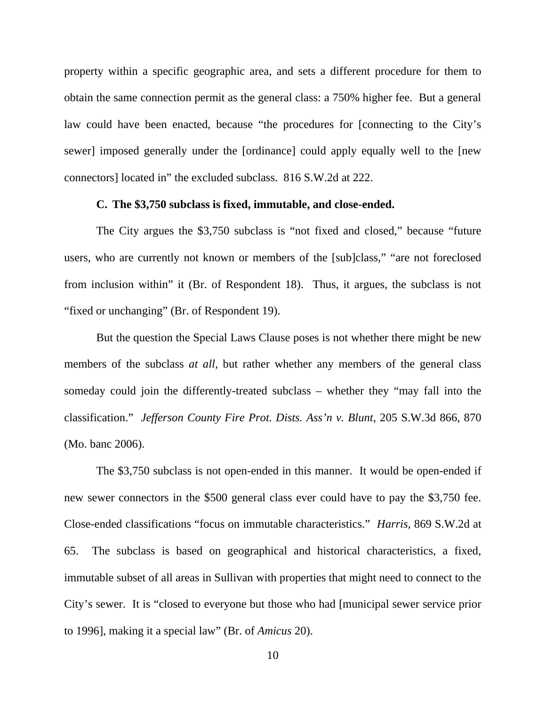property within a specific geographic area, and sets a different procedure for them to obtain the same connection permit as the general class: a 750% higher fee. But a general law could have been enacted, because "the procedures for [connecting to the City's sewer] imposed generally under the [ordinance] could apply equally well to the [new connectors] located in" the excluded subclass. 816 S.W.2d at 222.

#### **C. The \$3,750 subclass is fixed, immutable, and close-ended.**

The City argues the \$3,750 subclass is "not fixed and closed," because "future users, who are currently not known or members of the [sub]class," "are not foreclosed from inclusion within" it (Br. of Respondent 18). Thus, it argues, the subclass is not "fixed or unchanging" (Br. of Respondent 19).

But the question the Special Laws Clause poses is not whether there might be new members of the subclass *at all*, but rather whether any members of the general class someday could join the differently-treated subclass – whether they "may fall into the classification." *Jefferson County Fire Prot. Dists. Ass'n v. Blunt*, 205 S.W.3d 866, 870 (Mo. banc 2006).

The \$3,750 subclass is not open-ended in this manner. It would be open-ended if new sewer connectors in the \$500 general class ever could have to pay the \$3,750 fee. Close-ended classifications "focus on immutable characteristics." *Harris,* 869 S.W.2d at 65. The subclass is based on geographical and historical characteristics, a fixed, immutable subset of all areas in Sullivan with properties that might need to connect to the City's sewer. It is "closed to everyone but those who had [municipal sewer service prior to 1996], making it a special law" (Br. of *Amicus* 20).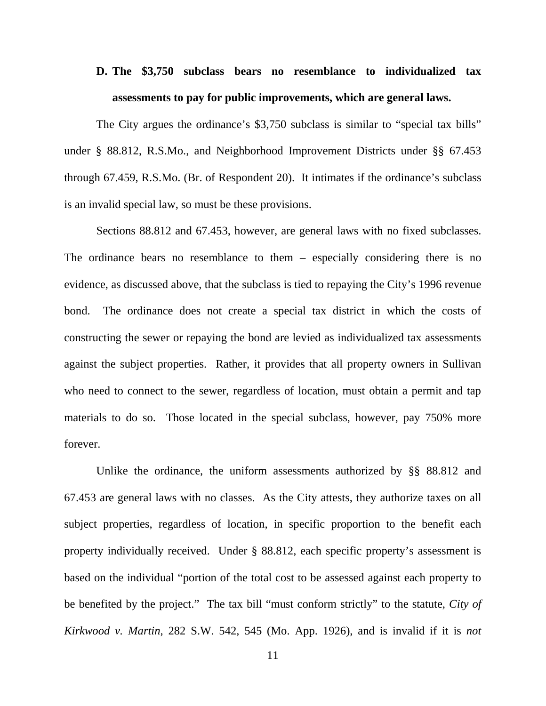# **D. The \$3,750 subclass bears no resemblance to individualized tax assessments to pay for public improvements, which are general laws.**

The City argues the ordinance's \$3,750 subclass is similar to "special tax bills" under § 88.812, R.S.Mo., and Neighborhood Improvement Districts under §§ 67.453 through 67.459, R.S.Mo. (Br. of Respondent 20). It intimates if the ordinance's subclass is an invalid special law, so must be these provisions.

Sections 88.812 and 67.453, however, are general laws with no fixed subclasses. The ordinance bears no resemblance to them – especially considering there is no evidence, as discussed above, that the subclass is tied to repaying the City's 1996 revenue bond. The ordinance does not create a special tax district in which the costs of constructing the sewer or repaying the bond are levied as individualized tax assessments against the subject properties. Rather, it provides that all property owners in Sullivan who need to connect to the sewer, regardless of location, must obtain a permit and tap materials to do so. Those located in the special subclass, however, pay 750% more forever.

Unlike the ordinance, the uniform assessments authorized by §§ 88.812 and 67.453 are general laws with no classes. As the City attests, they authorize taxes on all subject properties, regardless of location, in specific proportion to the benefit each property individually received. Under § 88.812, each specific property's assessment is based on the individual "portion of the total cost to be assessed against each property to be benefited by the project." The tax bill "must conform strictly" to the statute, *City of Kirkwood v. Martin*, 282 S.W. 542, 545 (Mo. App. 1926), and is invalid if it is *not*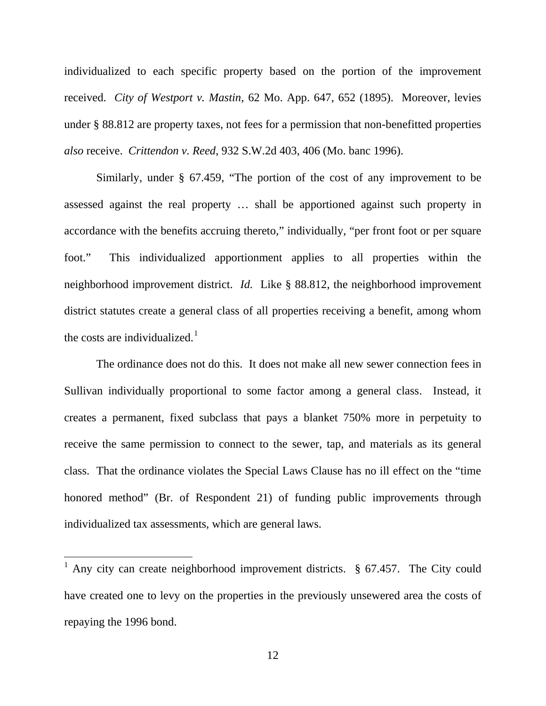individualized to each specific property based on the portion of the improvement received. *City of Westport v. Mastin*, 62 Mo. App. 647, 652 (1895). Moreover, levies under § 88.812 are property taxes, not fees for a permission that non-benefitted properties *also* receive. *Crittendon v. Reed*, 932 S.W.2d 403, 406 (Mo. banc 1996).

Similarly, under § 67.459, "The portion of the cost of any improvement to be assessed against the real property … shall be apportioned against such property in accordance with the benefits accruing thereto," individually, "per front foot or per square foot." This individualized apportionment applies to all properties within the neighborhood improvement district. *Id.* Like § 88.812, the neighborhood improvement district statutes create a general class of all properties receiving a benefit, among whom the costs are individualized.<sup>[1](#page-15-0)</sup>

The ordinance does not do this. It does not make all new sewer connection fees in Sullivan individually proportional to some factor among a general class. Instead, it creates a permanent, fixed subclass that pays a blanket 750% more in perpetuity to receive the same permission to connect to the sewer, tap, and materials as its general class. That the ordinance violates the Special Laws Clause has no ill effect on the "time honored method" (Br. of Respondent 21) of funding public improvements through individualized tax assessments, which are general laws.

<span id="page-15-0"></span><sup>&</sup>lt;sup>1</sup> Any city can create neighborhood improvement districts.  $§$  67.457. The City could have created one to levy on the properties in the previously unsewered area the costs of repaying the 1996 bond.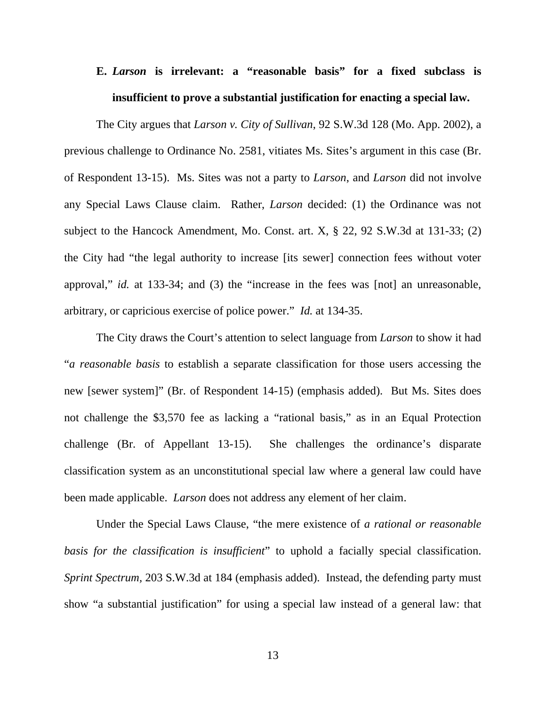# **E.** *Larson* **is irrelevant: a "reasonable basis" for a fixed subclass is insufficient to prove a substantial justification for enacting a special law.**

The City argues that *Larson v. City of Sullivan*, 92 S.W.3d 128 (Mo. App. 2002), a previous challenge to Ordinance No. 2581, vitiates Ms. Sites's argument in this case (Br. of Respondent 13-15). Ms. Sites was not a party to *Larson*, and *Larson* did not involve any Special Laws Clause claim. Rather, *Larson* decided: (1) the Ordinance was not subject to the Hancock Amendment, Mo. Const. art. X, § 22, 92 S.W.3d at 131-33; (2) the City had "the legal authority to increase [its sewer] connection fees without voter approval," *id.* at 133-34; and (3) the "increase in the fees was [not] an unreasonable, arbitrary, or capricious exercise of police power." *Id.* at 134-35.

The City draws the Court's attention to select language from *Larson* to show it had "*a reasonable basis* to establish a separate classification for those users accessing the new [sewer system]" (Br. of Respondent 14-15) (emphasis added). But Ms. Sites does not challenge the \$3,570 fee as lacking a "rational basis," as in an Equal Protection challenge (Br. of Appellant 13-15). She challenges the ordinance's disparate classification system as an unconstitutional special law where a general law could have been made applicable. *Larson* does not address any element of her claim.

Under the Special Laws Clause, "the mere existence of *a rational or reasonable basis for the classification is insufficient*" to uphold a facially special classification. *Sprint Spectrum,* 203 S.W.3d at 184 (emphasis added). Instead, the defending party must show "a substantial justification" for using a special law instead of a general law: that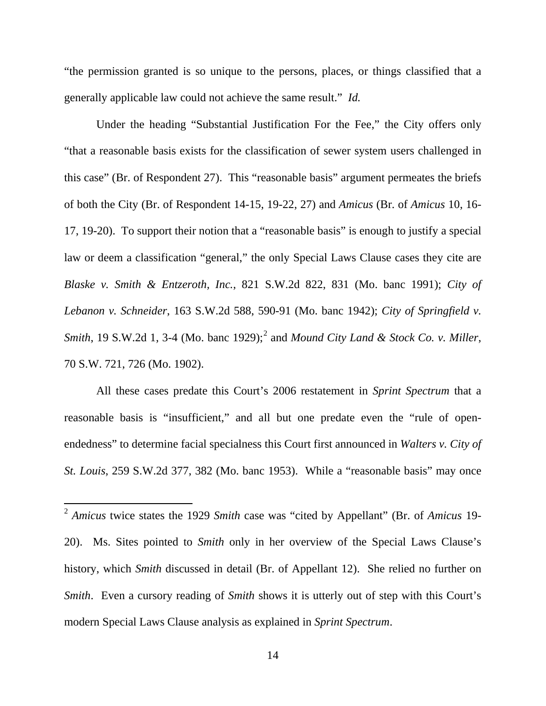"the permission granted is so unique to the persons, places, or things classified that a generally applicable law could not achieve the same result." *Id.*

Under the heading "Substantial Justification For the Fee," the City offers only "that a reasonable basis exists for the classification of sewer system users challenged in this case" (Br. of Respondent 27). This "reasonable basis" argument permeates the briefs of both the City (Br. of Respondent 14-15, 19-22, 27) and *Amicus* (Br. of *Amicus* 10, 16- 17, 19-20). To support their notion that a "reasonable basis" is enough to justify a special law or deem a classification "general," the only Special Laws Clause cases they cite are *Blaske v. Smith & Entzeroth, Inc.*, 821 S.W.2d 822, 831 (Mo. banc 1991); *City of Lebanon v. Schneider*, 163 S.W.2d 588, 590-91 (Mo. banc 1942); *City of Springfield v. Smith*, 19 S.W.[2](#page-17-0)d 1, 3-4 (Mo. banc 1929);<sup>2</sup> and *Mound City Land & Stock Co. v. Miller*, 70 S.W. 721, 726 (Mo. 1902).

All these cases predate this Court's 2006 restatement in *Sprint Spectrum* that a reasonable basis is "insufficient," and all but one predate even the "rule of openendedness" to determine facial specialness this Court first announced in *Walters v. City of St. Louis*, 259 S.W.2d 377, 382 (Mo. banc 1953). While a "reasonable basis" may once

<span id="page-17-0"></span> <sup>2</sup> *Amicus* twice states the 1929 *Smith* case was "cited by Appellant" (Br. of *Amicus* 19- 20). Ms. Sites pointed to *Smith* only in her overview of the Special Laws Clause's history, which *Smith* discussed in detail (Br. of Appellant 12). She relied no further on *Smith*. Even a cursory reading of *Smith* shows it is utterly out of step with this Court's modern Special Laws Clause analysis as explained in *Sprint Spectrum*.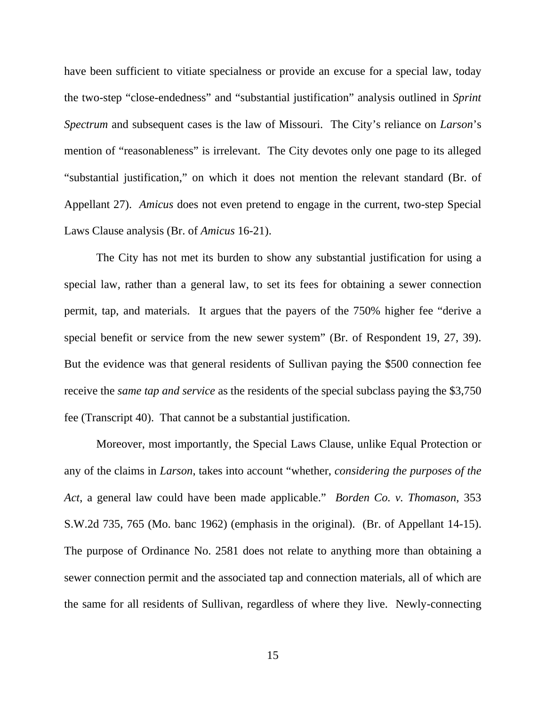have been sufficient to vitiate specialness or provide an excuse for a special law, today the two-step "close-endedness" and "substantial justification" analysis outlined in *Sprint Spectrum* and subsequent cases is the law of Missouri. The City's reliance on *Larson*'s mention of "reasonableness" is irrelevant. The City devotes only one page to its alleged "substantial justification," on which it does not mention the relevant standard (Br. of Appellant 27). *Amicus* does not even pretend to engage in the current, two-step Special Laws Clause analysis (Br. of *Amicus* 16-21).

The City has not met its burden to show any substantial justification for using a special law, rather than a general law, to set its fees for obtaining a sewer connection permit, tap, and materials. It argues that the payers of the 750% higher fee "derive a special benefit or service from the new sewer system" (Br. of Respondent 19, 27, 39). But the evidence was that general residents of Sullivan paying the \$500 connection fee receive the *same tap and service* as the residents of the special subclass paying the \$3,750 fee (Transcript 40). That cannot be a substantial justification.

Moreover, most importantly, the Special Laws Clause, unlike Equal Protection or any of the claims in *Larson*, takes into account "whether, *considering the purposes of the Act*, a general law could have been made applicable." *Borden Co. v. Thomason*, 353 S.W.2d 735, 765 (Mo. banc 1962) (emphasis in the original). (Br. of Appellant 14-15). The purpose of Ordinance No. 2581 does not relate to anything more than obtaining a sewer connection permit and the associated tap and connection materials, all of which are the same for all residents of Sullivan, regardless of where they live. Newly-connecting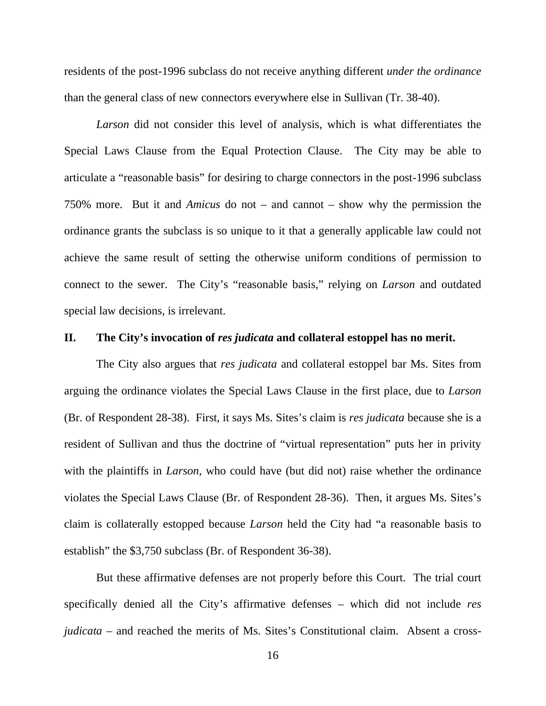residents of the post-1996 subclass do not receive anything different *under the ordinance* than the general class of new connectors everywhere else in Sullivan (Tr. 38-40).

*Larson* did not consider this level of analysis, which is what differentiates the Special Laws Clause from the Equal Protection Clause. The City may be able to articulate a "reasonable basis" for desiring to charge connectors in the post-1996 subclass 750% more. But it and *Amicus* do not – and cannot – show why the permission the ordinance grants the subclass is so unique to it that a generally applicable law could not achieve the same result of setting the otherwise uniform conditions of permission to connect to the sewer. The City's "reasonable basis," relying on *Larson* and outdated special law decisions, is irrelevant.

### **II. The City's invocation of** *res judicata* **and collateral estoppel has no merit.**

The City also argues that *res judicata* and collateral estoppel bar Ms. Sites from arguing the ordinance violates the Special Laws Clause in the first place, due to *Larson* (Br. of Respondent 28-38). First, it says Ms. Sites's claim is *res judicata* because she is a resident of Sullivan and thus the doctrine of "virtual representation" puts her in privity with the plaintiffs in *Larson*, who could have (but did not) raise whether the ordinance violates the Special Laws Clause (Br. of Respondent 28-36). Then, it argues Ms. Sites's claim is collaterally estopped because *Larson* held the City had "a reasonable basis to establish" the \$3,750 subclass (Br. of Respondent 36-38).

But these affirmative defenses are not properly before this Court. The trial court specifically denied all the City's affirmative defenses – which did not include *res judicata* – and reached the merits of Ms. Sites's Constitutional claim. Absent a cross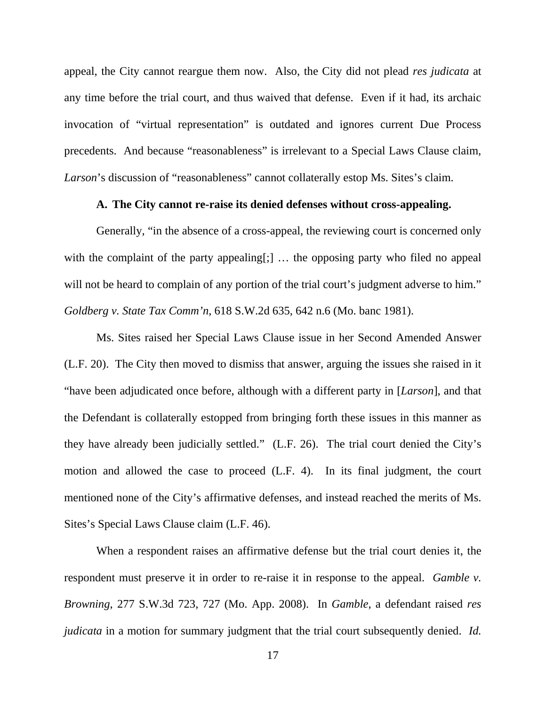appeal, the City cannot reargue them now. Also, the City did not plead *res judicata* at any time before the trial court, and thus waived that defense. Even if it had, its archaic invocation of "virtual representation" is outdated and ignores current Due Process precedents. And because "reasonableness" is irrelevant to a Special Laws Clause claim, Larson's discussion of "reasonableness" cannot collaterally estop Ms. Sites's claim.

#### **A. The City cannot re-raise its denied defenses without cross-appealing.**

Generally, "in the absence of a cross-appeal, the reviewing court is concerned only with the complaint of the party appealing[;] ... the opposing party who filed no appeal will not be heard to complain of any portion of the trial court's judgment adverse to him." *Goldberg v. State Tax Comm'n*, 618 S.W.2d 635, 642 n.6 (Mo. banc 1981).

Ms. Sites raised her Special Laws Clause issue in her Second Amended Answer (L.F. 20). The City then moved to dismiss that answer, arguing the issues she raised in it "have been adjudicated once before, although with a different party in [*Larson*], and that the Defendant is collaterally estopped from bringing forth these issues in this manner as they have already been judicially settled." (L.F. 26). The trial court denied the City's motion and allowed the case to proceed (L.F. 4). In its final judgment, the court mentioned none of the City's affirmative defenses, and instead reached the merits of Ms. Sites's Special Laws Clause claim (L.F. 46).

When a respondent raises an affirmative defense but the trial court denies it, the respondent must preserve it in order to re-raise it in response to the appeal. *Gamble v. Browning*, 277 S.W.3d 723, 727 (Mo. App. 2008). In *Gamble*, a defendant raised *res judicata* in a motion for summary judgment that the trial court subsequently denied. *Id.*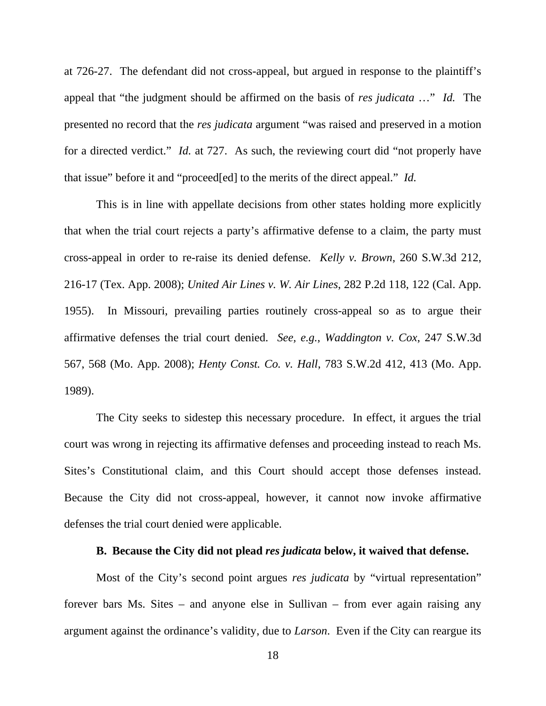at 726-27. The defendant did not cross-appeal, but argued in response to the plaintiff's appeal that "the judgment should be affirmed on the basis of *res judicata* …" *Id.* The presented no record that the *res judicata* argument "was raised and preserved in a motion for a directed verdict." *Id.* at 727. As such, the reviewing court did "not properly have that issue" before it and "proceed[ed] to the merits of the direct appeal." *Id.*

This is in line with appellate decisions from other states holding more explicitly that when the trial court rejects a party's affirmative defense to a claim, the party must cross-appeal in order to re-raise its denied defense. *Kelly v. Brown*, 260 S.W.3d 212, 216-17 (Tex. App. 2008); *United Air Lines v. W. Air Lines*, 282 P.2d 118, 122 (Cal. App. 1955). In Missouri, prevailing parties routinely cross-appeal so as to argue their affirmative defenses the trial court denied. *See, e.g.*, *Waddington v. Cox*, 247 S.W.3d 567, 568 (Mo. App. 2008); *Henty Const. Co. v. Hall*, 783 S.W.2d 412, 413 (Mo. App. 1989).

The City seeks to sidestep this necessary procedure. In effect, it argues the trial court was wrong in rejecting its affirmative defenses and proceeding instead to reach Ms. Sites's Constitutional claim, and this Court should accept those defenses instead. Because the City did not cross-appeal, however, it cannot now invoke affirmative defenses the trial court denied were applicable.

### **B. Because the City did not plead** *res judicata* **below, it waived that defense.**

Most of the City's second point argues *res judicata* by "virtual representation" forever bars Ms. Sites – and anyone else in Sullivan – from ever again raising any argument against the ordinance's validity, due to *Larson*. Even if the City can reargue its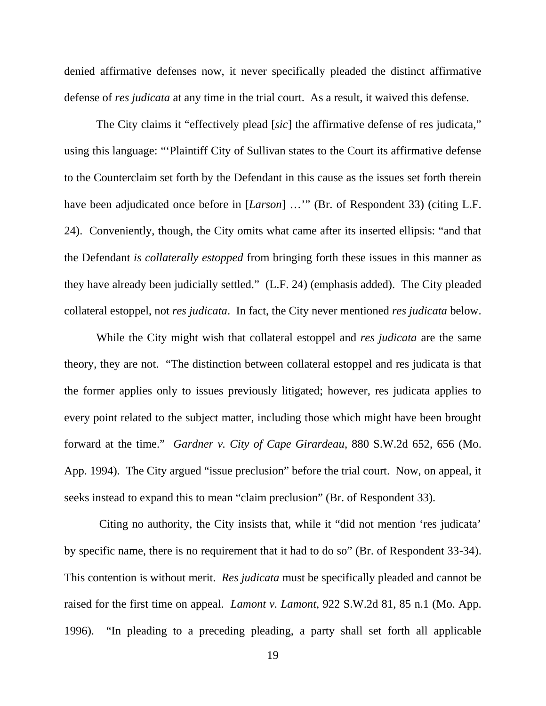denied affirmative defenses now, it never specifically pleaded the distinct affirmative defense of *res judicata* at any time in the trial court. As a result, it waived this defense.

The City claims it "effectively plead [*sic*] the affirmative defense of res judicata," using this language: "'Plaintiff City of Sullivan states to the Court its affirmative defense to the Counterclaim set forth by the Defendant in this cause as the issues set forth therein have been adjudicated once before in [*Larson*] ..."" (Br. of Respondent 33) (citing L.F. 24). Conveniently, though, the City omits what came after its inserted ellipsis: "and that the Defendant *is collaterally estopped* from bringing forth these issues in this manner as they have already been judicially settled." (L.F. 24) (emphasis added). The City pleaded collateral estoppel, not *res judicata*. In fact, the City never mentioned *res judicata* below.

While the City might wish that collateral estoppel and *res judicata* are the same theory, they are not. "The distinction between collateral estoppel and res judicata is that the former applies only to issues previously litigated; however, res judicata applies to every point related to the subject matter, including those which might have been brought forward at the time." *Gardner v. City of Cape Girardeau*, 880 S.W.2d 652, 656 (Mo. App. 1994). The City argued "issue preclusion" before the trial court. Now, on appeal, it seeks instead to expand this to mean "claim preclusion" (Br. of Respondent 33).

Citing no authority, the City insists that, while it "did not mention 'res judicata' by specific name, there is no requirement that it had to do so" (Br. of Respondent 33-34). This contention is without merit. *Res judicata* must be specifically pleaded and cannot be raised for the first time on appeal. *Lamont v. Lamont*, 922 S.W.2d 81, 85 n.1 (Mo. App. 1996). "In pleading to a preceding pleading, a party shall set forth all applicable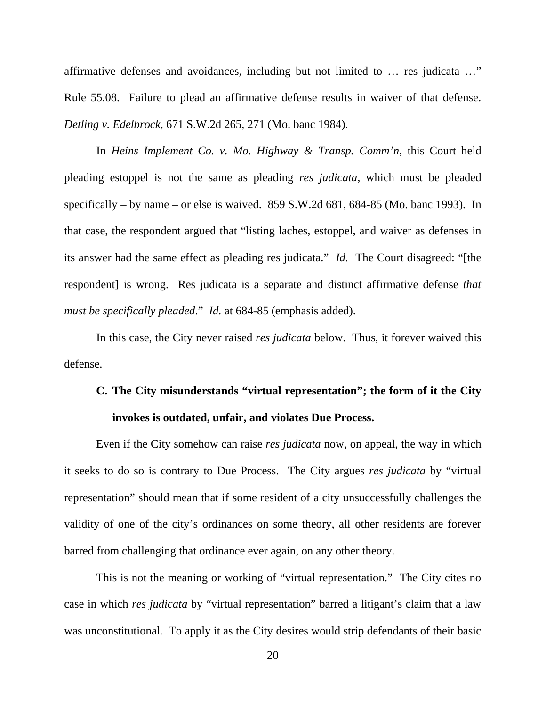affirmative defenses and avoidances, including but not limited to … res judicata …" Rule 55.08. Failure to plead an affirmative defense results in waiver of that defense. *Detling v. Edelbrock*, 671 S.W.2d 265, 271 (Mo. banc 1984).

In *Heins Implement Co. v. Mo. Highway & Transp. Comm'n*, this Court held pleading estoppel is not the same as pleading *res judicata*, which must be pleaded specifically – by name – or else is waived. 859 S.W.2d 681, 684-85 (Mo. banc 1993). In that case, the respondent argued that "listing laches, estoppel, and waiver as defenses in its answer had the same effect as pleading res judicata." *Id.* The Court disagreed: "[the respondent] is wrong. Res judicata is a separate and distinct affirmative defense *that must be specifically pleaded*." *Id.* at 684-85 (emphasis added).

In this case, the City never raised *res judicata* below. Thus, it forever waived this defense.

### **C. The City misunderstands "virtual representation"; the form of it the City invokes is outdated, unfair, and violates Due Process.**

Even if the City somehow can raise *res judicata* now, on appeal, the way in which it seeks to do so is contrary to Due Process. The City argues *res judicata* by "virtual representation" should mean that if some resident of a city unsuccessfully challenges the validity of one of the city's ordinances on some theory, all other residents are forever barred from challenging that ordinance ever again, on any other theory.

This is not the meaning or working of "virtual representation." The City cites no case in which *res judicata* by "virtual representation" barred a litigant's claim that a law was unconstitutional. To apply it as the City desires would strip defendants of their basic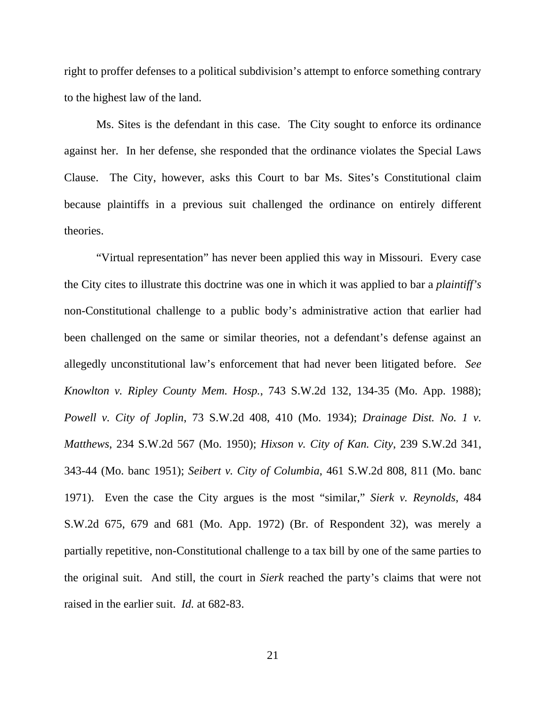right to proffer defenses to a political subdivision's attempt to enforce something contrary to the highest law of the land.

Ms. Sites is the defendant in this case. The City sought to enforce its ordinance against her. In her defense, she responded that the ordinance violates the Special Laws Clause. The City, however, asks this Court to bar Ms. Sites's Constitutional claim because plaintiffs in a previous suit challenged the ordinance on entirely different theories.

"Virtual representation" has never been applied this way in Missouri. Every case the City cites to illustrate this doctrine was one in which it was applied to bar a *plaintiff's* non-Constitutional challenge to a public body's administrative action that earlier had been challenged on the same or similar theories, not a defendant's defense against an allegedly unconstitutional law's enforcement that had never been litigated before. *See Knowlton v. Ripley County Mem. Hosp.*, 743 S.W.2d 132, 134-35 (Mo. App. 1988); *Powell v. City of Joplin*, 73 S.W.2d 408, 410 (Mo. 1934); *Drainage Dist. No. 1 v. Matthews*, 234 S.W.2d 567 (Mo. 1950); *Hixson v. City of Kan. City*, 239 S.W.2d 341, 343-44 (Mo. banc 1951); *Seibert v. City of Columbia*, 461 S.W.2d 808, 811 (Mo. banc 1971). Even the case the City argues is the most "similar," *Sierk v. Reynolds*, 484 S.W.2d 675, 679 and 681 (Mo. App. 1972) (Br. of Respondent 32), was merely a partially repetitive, non-Constitutional challenge to a tax bill by one of the same parties to the original suit. And still, the court in *Sierk* reached the party's claims that were not raised in the earlier suit. *Id.* at 682-83.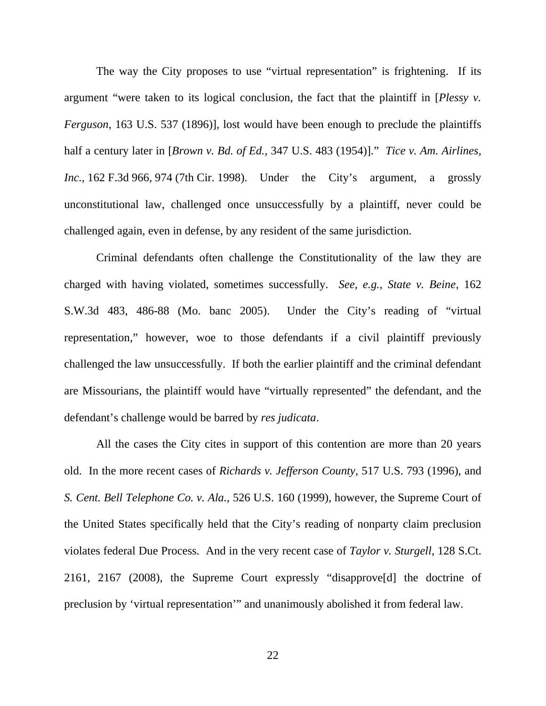The way the City proposes to use "virtual representation" is frightening. If its argument "were taken to its logical conclusion, the fact that the plaintiff in [*Plessy v. Ferguson*, 163 U.S. 537 (1896)], lost would have been enough to preclude the plaintiffs half a century later in [*Brown v. Bd. of Ed.*, 347 U.S. 483 (1954)]." *Tice v. Am. Airlines, Inc.*, 162 F.3d 966, 974 (7th Cir. 1998). Under the City's argument, a grossly unconstitutional law, challenged once unsuccessfully by a plaintiff, never could be challenged again, even in defense, by any resident of the same jurisdiction.

Criminal defendants often challenge the Constitutionality of the law they are charged with having violated, sometimes successfully. *See, e.g., State v. Beine*, 162 S.W.3d 483, 486-88 (Mo. banc 2005). Under the City's reading of "virtual representation," however, woe to those defendants if a civil plaintiff previously challenged the law unsuccessfully. If both the earlier plaintiff and the criminal defendant are Missourians, the plaintiff would have "virtually represented" the defendant, and the defendant's challenge would be barred by *res judicata*.

All the cases the City cites in support of this contention are more than 20 years old. In the more recent cases of *Richards v. Jefferson County*, 517 U.S. 793 (1996), and *S. Cent. Bell Telephone Co. v. Ala.*, 526 U.S. 160 (1999), however, the Supreme Court of the United States specifically held that the City's reading of nonparty claim preclusion violates federal Due Process. And in the very recent case of *Taylor v. Sturgell*, 128 S.Ct. 2161, 2167 (2008), the Supreme Court expressly "disapprove[d] the doctrine of preclusion by 'virtual representation'" and unanimously abolished it from federal law.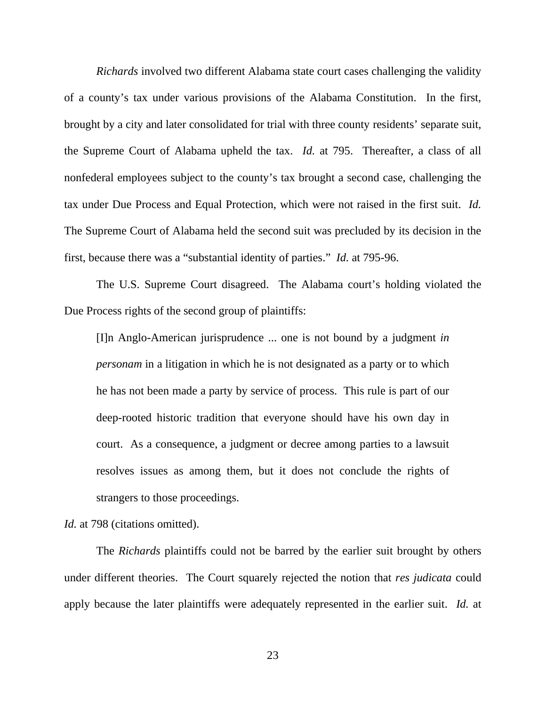*Richards* involved two different Alabama state court cases challenging the validity of a county's tax under various provisions of the Alabama Constitution. In the first, brought by a city and later consolidated for trial with three county residents' separate suit, the Supreme Court of Alabama upheld the tax. *Id.* at 795. Thereafter, a class of all nonfederal employees subject to the county's tax brought a second case, challenging the tax under Due Process and Equal Protection, which were not raised in the first suit. *Id.* The Supreme Court of Alabama held the second suit was precluded by its decision in the first, because there was a "substantial identity of parties." *Id.* at 795-96.

The U.S. Supreme Court disagreed. The Alabama court's holding violated the Due Process rights of the second group of plaintiffs:

[I]n Anglo-American jurisprudence ... one is not bound by a judgment *in personam* in a litigation in which he is not designated as a party or to which he has not been made a party by service of process. This rule is part of our deep-rooted historic tradition that everyone should have his own day in court. As a consequence, a judgment or decree among parties to a lawsuit resolves issues as among them, but it does not conclude the rights of strangers to those proceedings.

Id. at 798 (citations omitted).

The *Richards* plaintiffs could not be barred by the earlier suit brought by others under different theories. The Court squarely rejected the notion that *res judicata* could apply because the later plaintiffs were adequately represented in the earlier suit. *Id.* at

23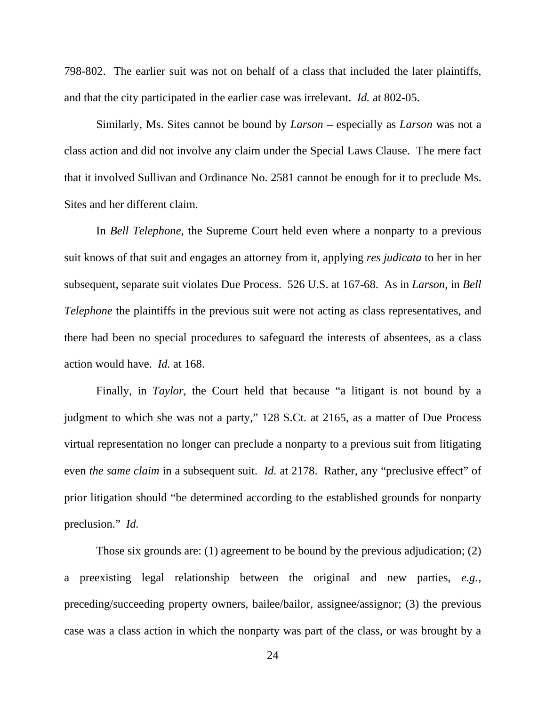798-802. The earlier suit was not on behalf of a class that included the later plaintiffs, and that the city participated in the earlier case was irrelevant. *Id.* at 802-05.

Similarly, Ms. Sites cannot be bound by *Larson* – especially as *Larson* was not a class action and did not involve any claim under the Special Laws Clause. The mere fact that it involved Sullivan and Ordinance No. 2581 cannot be enough for it to preclude Ms. Sites and her different claim.

In *Bell Telephone*, the Supreme Court held even where a nonparty to a previous suit knows of that suit and engages an attorney from it, applying *res judicata* to her in her subsequent, separate suit violates Due Process. 526 U.S. at 167-68. As in *Larson*, in *Bell Telephone* the plaintiffs in the previous suit were not acting as class representatives, and there had been no special procedures to safeguard the interests of absentees, as a class action would have. *Id.* at 168.

Finally, in *Taylor*, the Court held that because "a litigant is not bound by a judgment to which she was not a party," 128 S.Ct. at 2165, as a matter of Due Process virtual representation no longer can preclude a nonparty to a previous suit from litigating even *the same claim* in a subsequent suit. *Id.* at 2178. Rather, any "preclusive effect" of prior litigation should "be determined according to the established grounds for nonparty preclusion." *Id.*

Those six grounds are: (1) agreement to be bound by the previous adjudication; (2) a preexisting legal relationship between the original and new parties, *e.g.*, preceding/succeeding property owners, bailee/bailor, assignee/assignor; (3) the previous case was a class action in which the nonparty was part of the class, or was brought by a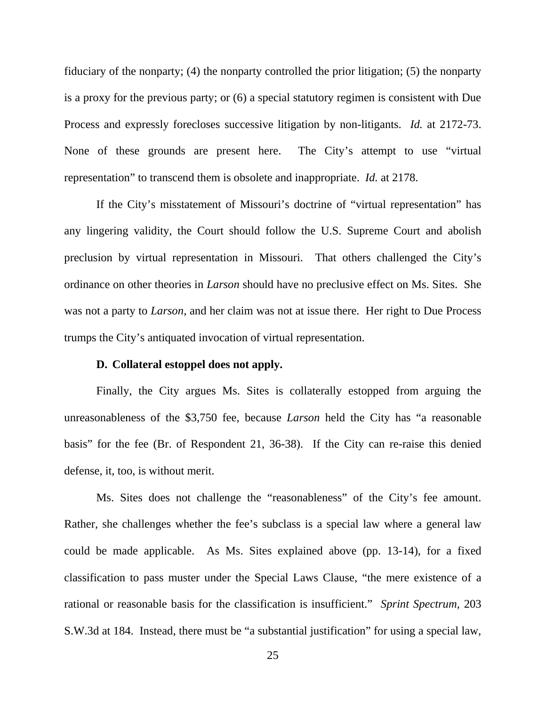fiduciary of the nonparty; (4) the nonparty controlled the prior litigation; (5) the nonparty is a proxy for the previous party; or (6) a special statutory regimen is consistent with Due Process and expressly forecloses successive litigation by non-litigants. *Id.* at 2172-73. None of these grounds are present here. The City's attempt to use "virtual representation" to transcend them is obsolete and inappropriate. *Id.* at 2178.

If the City's misstatement of Missouri's doctrine of "virtual representation" has any lingering validity, the Court should follow the U.S. Supreme Court and abolish preclusion by virtual representation in Missouri. That others challenged the City's ordinance on other theories in *Larson* should have no preclusive effect on Ms. Sites. She was not a party to *Larson*, and her claim was not at issue there. Her right to Due Process trumps the City's antiquated invocation of virtual representation.

### **D. Collateral estoppel does not apply.**

Finally, the City argues Ms. Sites is collaterally estopped from arguing the unreasonableness of the \$3,750 fee, because *Larson* held the City has "a reasonable basis" for the fee (Br. of Respondent 21, 36-38). If the City can re-raise this denied defense, it, too, is without merit.

Ms. Sites does not challenge the "reasonableness" of the City's fee amount. Rather, she challenges whether the fee's subclass is a special law where a general law could be made applicable. As Ms. Sites explained above (pp. 13-14), for a fixed classification to pass muster under the Special Laws Clause, "the mere existence of a rational or reasonable basis for the classification is insufficient." *Sprint Spectrum,* 203 S.W.3d at 184. Instead, there must be "a substantial justification" for using a special law,